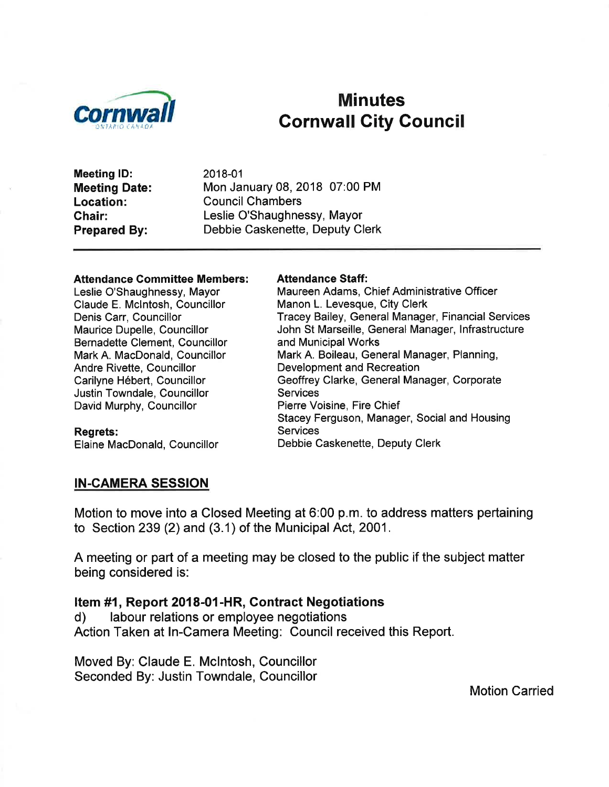

# Minutes<br>Cornwall City Council

Meeting lD: Meeting Date: Location: Chair: Prepared By:

2018-01 Mon January 08, 2018 07:00 PM Council Chambers Leslie O'Shaughnessy, Mayor Debbie Caskenette, Deputy Clerk

#### Attendance Committee Members:

Leslie O'Shaughnessy, Mayor Claude E. Mclntosh, Councillor Denis Carr, Councillor Maurice Dupelle, Councillor Bernadette Clement, Councillor Mark A. MacDonald, Councillor Andre Rivette, Councillor Carilyne Hébert, Councillor Justin Towndale, Councillor David Murphy, Councillor

#### Regrets:

Elaine MacDonald, Councillor

#### Attendance Staff:

Maureen Adams, Chief Administrative Officer Manon L. Levesque, City Clerk Tracey Bailey, General Manager, Financial Services John St Marseille, General Manager, lnfrastructure and Municipal Works Mark A. Boileau, General Manager, Planning, Development and Recreation Geoffrey Clarke, General Manager, Corporate **Services** Pierre Voisine, Fire Chief Stacey Ferguson, Manager, Social and Housing **Services** Debbie Caskenette, Deputy Clerk

#### IN.CAMERA SESSION

Motion to move into a Closed Meeting at 6:00 p.m. to address matters pertaining to Section 239 (2) and (3.1) of the Municipal Act, 2001.

A meeting or part of a meeting may be closed to the public if the subject matter being considered is:

# Item #1, Report 2018-01-HR, Contract Negotiations d) labour relations or employee negotiations

Action Taken at ln-Camera Meeting: Council received this Report.

Moved By: Claude E. Mclntosh, Councillor Seconded By: Justin Towndale, Councillor

Motion Carried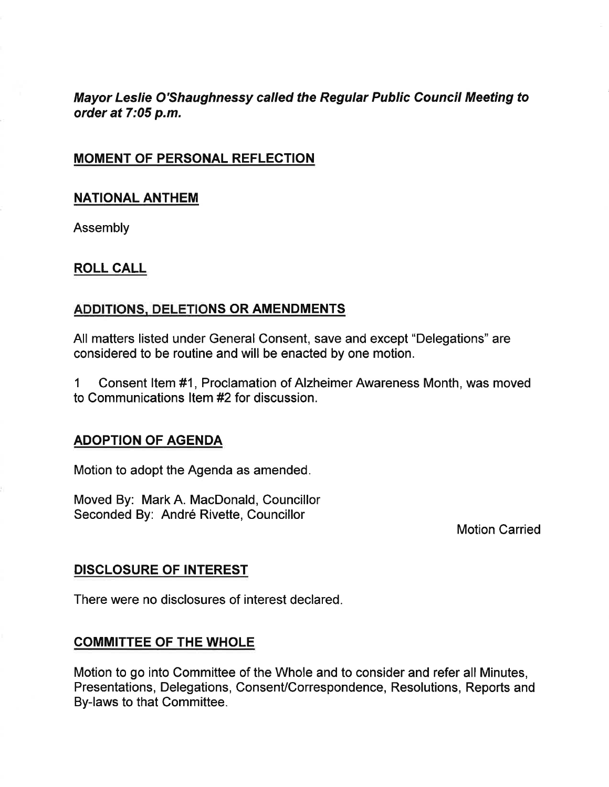Mayor Leslie O'Shaughnessy called the Regular Public Council Meeting to order at 7:05 p.m.

#### MOMENT OF PERSONAL REFLECTION

#### NATIONAL ANTHEM

**Assembly** 

#### ROLL CALL

#### ADDITIONS. DELETIONS OR AMENDMENTS

All matters listed under General Consent, save and except "Delegations" are considered to be routine and will be enacted by one motion.

1 Consent ltem #1, Proclamation of Alzheimer Awareness Month, was moved to Communications Item #2 for discussion.

#### ADOPTION OF AGENDA

Motion to adopt the Agenda as amended.

Moved By: Mark A. MacDonald, Councillor Seconded By: André Rivette, Councillor

Motion Carried

#### DISCLOSURE OF INTEREST

There were no disclosures of interest declared.

#### COMMITTEE OF THE WHOLE

Motion to go into Committee of the Whole and to consider and refer all Minutes, Presentations, Delegations, Consent/Correspondence, Resolutions, Reports and By-laws to that Committee.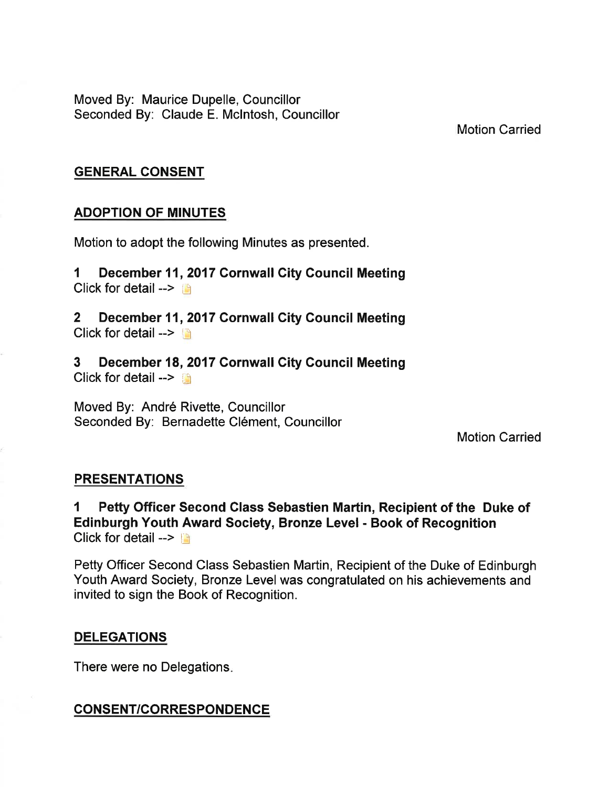Moved By: Maurice Dupelle, Councillor Seconded By: Claude E. Mclntosh, Councillor

Motion Carried

#### GENERAL CONSENT

#### ADOPTION OF MINUTES

Motion to adopt the following Minutes as presented.

I December 11,2017 Cornwall City Gouncil Meeting Click for detail  $\rightarrow$ 

2 December 11,2017 Cornwall Gity Council Meeting Click for detail  $\rightarrow$ 

3 December 18,2017 Cornwall City Council Meeting Click for detail --> **Or** 

Moved By: André Rivette, Councillor Seconded By: Bernadette Clément, Councillor

Motion Carried

#### **PRESENTATIONS**

1 Petty Officer Second Glass Sebastien Martin, Recipient of the Duke of Edinburgh Youth Award Society, Bronze Level - Book of Recognition Click for detail  $\rightarrow$   $\rightarrow$ 

Petty Officer Second Class Sebastien Martin, Recipient of the Duke of Edinburgh Youth Award Society, Bronze Level was congratulated on his achievements and invited to sign the Book of Recognition.

#### **DELEGATIONS**

There were no Delegations

#### CONSENT/CORRESPONDENCE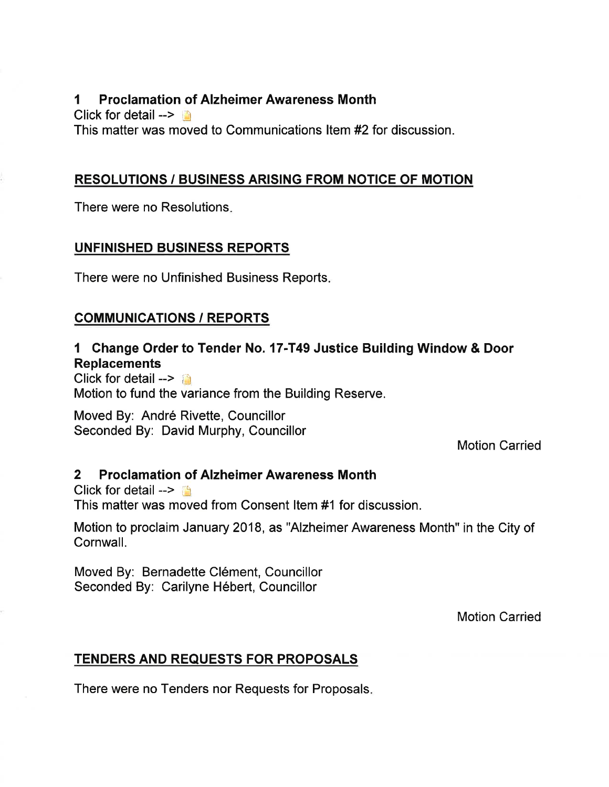#### I Proclamation of Alzheimer Awareness Month

Click for detail  $\rightarrow$ This matter was moved to Communications ltem #2 for discussion.

#### RESOLUTIONS / BUSINESS ARISING FROM NOTIGE OF MOTION

There were no Resolutions

# UNFINISHED BUSINESS REPORTS

There were no Unfinished Business Reports

# COMMUNIGATIONS / REPORTS

# I Ghange Order to Tender No. 17-T49 Justice Building Window & Door **Replacements**

Click for detail  $--$ Motion to fund the variance from the Building Reserve.

Moved By: André Rivette, Councillor Seconded By: David Murphy, Councillor

Motion Carried

#### 2 Proclamation of Alzheimer Awareness Month

Click for detail  $--$ This matter was moved from Consent ltem #1 for discussion.

Motion to proclaim January 2018, as "Alzheimer Awareness Month" in the City of Cornwall.

Moved By: Bernadette Clément, Councillor Seconded By: Carilyne Hébert, Councillor

Motion Carried

# TENDERS AND REQUESTS FOR PROPOSALS

There were no Tenders nor Requests for Proposals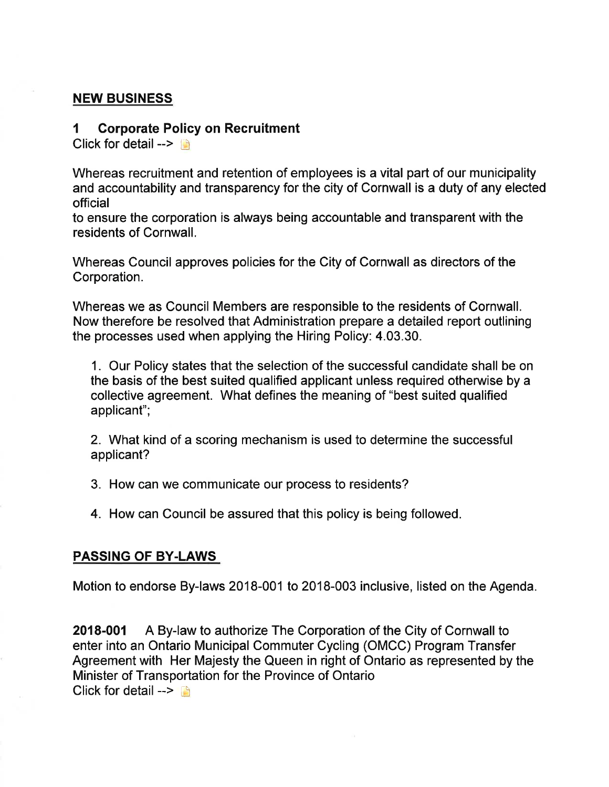#### NEW BUSINESS

#### 1 Corporate Policy on Recruitment

Click for detail  $\rightarrow$ 

Whereas recruitment and retention of employees is a vital part of our municipality and accountability and transparency for the city of Cornwall is a duty of any elected official

to ensure the corporation is always being accountable and transparent with the residents of Cornwall.

Whereas Council approves policies for the City of Cornwall as directors of the Corporation.

Whereas we as Council Members are responsible to the residents of Cornwall. Now therefore be resolved that Administration prepare a detailed report outlining the processes used when applying the Hiring Policy: 4.03.30.

1. Our Policy states that the selection of the successful candidate shall be on the basis of the best suited qualified applicant unless required otherwise by a collective agreement. What defines the meaning of "best suited qualified applicant";

2. What kind of a scoring mechanism is used to determine the successful applicant?

3. How can we communicate our process to residents?

4. How can Council be assured that this policy is being followed.

#### PASSING OF BY.LAWS

Motion to endorse By-laws 2018-001 to 2018-003 inclusive, listed on the Agenda.

2018-001 A By-law to authorize The Corporation of the City of Cornwall to enter into an Ontario Municipal Commuter Cycling (OMCC) Program Transfer Agreement with Her Majesty the Queen in right of Ontario as represented by the Minister of Transportation for the Province of Ontario Click for detail  $\rightarrow$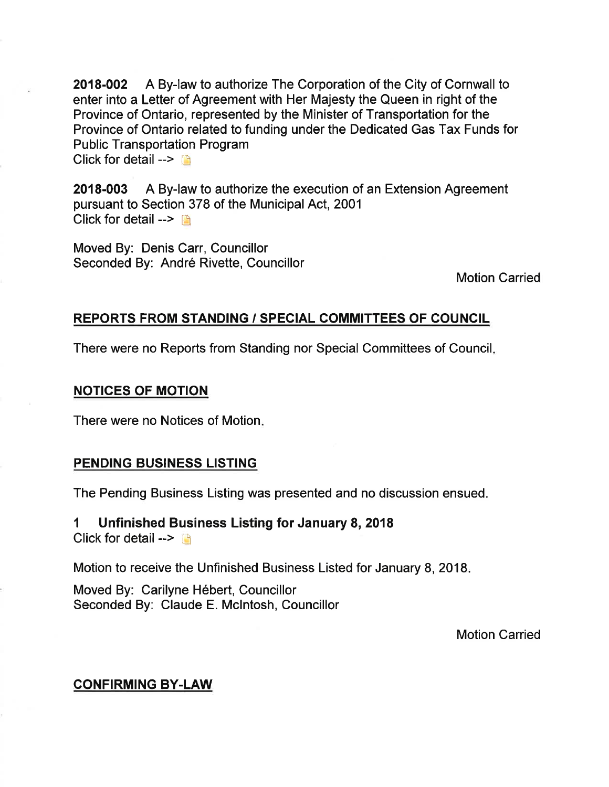2018-002 A By-law to authorize The Corporation of the Gity of Cornwall to enter into a Letter of Agreement with Her Majesty the Queen in right of the Province of Ontario, represented by the Minister of Transportation for the Province of Ontario related to funding under the Dedicated Gas Tax Funds for Public Transportation Program Click for detail  $\rightarrow$   $\rightarrow$ 

2018-003 A By-law to authorize the execution of an Extension Agreement pursuant to Section 378 of the Municipal Act, 2001 Click for detail  $\rightarrow$   $\rightarrow$ 

Moved By. Denis Carr, Councillor Seconded By: André Rivette, Councillor

Motion Carried

#### REPORTS FROM STANDING / SPECIAL COMMITTEES OF COUNCIL

There were no Reports from Standing nor Special Committees of Council

#### NOTICES OF MOTION

There were no Notices of Motion

#### PENDING BUSINESS LISTING

The Pending Business Listing was presented and no discussion ensued.

1 Unfinished Business Listing for January 8, 2018 Click for detail  $\leftarrow$ 

Motion to receive the Unfinished Business Listed for January 8, 2018

Moved By: Carilyne Hébert, Councillor Seconded By: Claude E. Mclntosh, Councillor

Motion Carried

# CONFIRMING BY.LAW